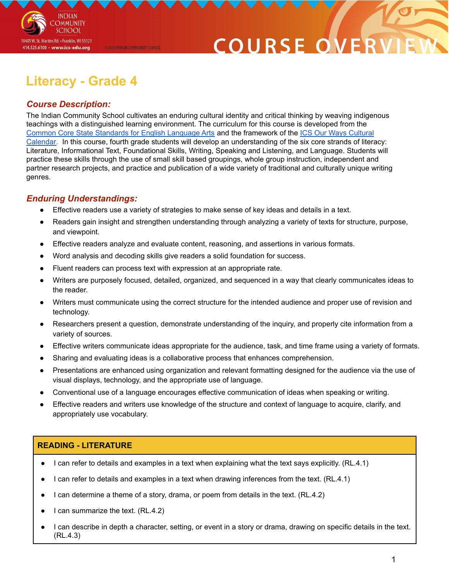

# COURSE O

## **Literacy - Grade 4**

@2020 INDIAN COMMUNITY SCHOOL

### *Course Description:*

The Indian Community School cultivates an enduring cultural identity and critical thinking by weaving indigenous teachings with a distinguished learning environment. The curriculum for this course is developed from the Common Core State [Standards](http://www.corestandards.org/ELA-Literacy/) for English Language Arts and the framework of the ICS Our Ways [Cultural](https://drive.google.com/open?id=0B7pONXiRIufTT3VHOXBBeG9USHMzbDNIUi1nV0NTbURCMFRZ) [Calendar.](https://drive.google.com/open?id=0B7pONXiRIufTT3VHOXBBeG9USHMzbDNIUi1nV0NTbURCMFRZ) In this course, fourth grade students will develop an understanding of the six core strands of literacy: Literature, Informational Text, Foundational Skills, Writing, Speaking and Listening, and Language. Students will practice these skills through the use of small skill based groupings, whole group instruction, independent and partner research projects, and practice and publication of a wide variety of traditional and culturally unique writing genres.

### *Enduring Understandings:*

- Effective readers use a variety of strategies to make sense of key ideas and details in a text.
- Readers gain insight and strengthen understanding through analyzing a variety of texts for structure, purpose, and viewpoint.
- Effective readers analyze and evaluate content, reasoning, and assertions in various formats.
- Word analysis and decoding skills give readers a solid foundation for success.
- Fluent readers can process text with expression at an appropriate rate.
- Writers are purposely focused, detailed, organized, and sequenced in a way that clearly communicates ideas to the reader.
- Writers must communicate using the correct structure for the intended audience and proper use of revision and technology.
- Researchers present a question, demonstrate understanding of the inquiry, and properly cite information from a variety of sources.
- Effective writers communicate ideas appropriate for the audience, task, and time frame using a variety of formats.
- Sharing and evaluating ideas is a collaborative process that enhances comprehension.
- Presentations are enhanced using organization and relevant formatting designed for the audience via the use of visual displays, technology, and the appropriate use of language.
- Conventional use of a language encourages effective communication of ideas when speaking or writing.
- Effective readers and writers use knowledge of the structure and context of language to acquire, clarify, and appropriately use vocabulary.

### **READING - LITERATURE**

- I can refer to details and examples in a text when explaining what the text says explicitly. (RL.4.1)
- I can refer to details and examples in a text when drawing inferences from the text. (RL.4.1)
- I can determine a theme of a story, drama, or poem from details in the text. (RL.4.2)
- I can summarize the text. (RL.4.2)
- I can describe in depth a character, setting, or event in a story or drama, drawing on specific details in the text. (RL.4.3)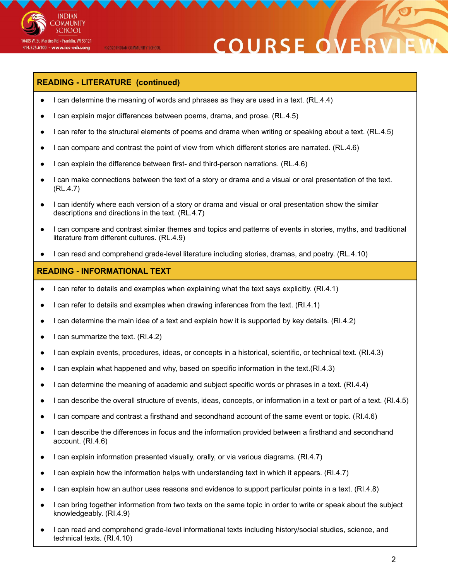

# **COURSE ON**

### **READING - LITERATURE (continued)**

@2020 INDIAN COMMUNITY SCHOOL

- I can determine the meaning of words and phrases as they are used in a text. (RL.4.4)
- I can explain major differences between poems, drama, and prose. (RL.4.5)
- I can refer to the structural elements of poems and drama when writing or speaking about a text. (RL.4.5)
- I can compare and contrast the point of view from which different stories are narrated. (RL.4.6)
- I can explain the difference between first- and third-person narrations. (RL.4.6)
- I can make connections between the text of a story or drama and a visual or oral presentation of the text. (RL.4.7)
- I can identify where each version of a story or drama and visual or oral presentation show the similar descriptions and directions in the text. (RL.4.7)
- I can compare and contrast similar themes and topics and patterns of events in stories, myths, and traditional literature from different cultures. (RL.4.9)
- I can read and comprehend grade-level literature including stories, dramas, and poetry. (RL.4.10)

#### **READING - INFORMATIONAL TEXT**

- I can refer to details and examples when explaining what the text says explicitly. (RI.4.1)
- I can refer to details and examples when drawing inferences from the text. (RI.4.1)
- I can determine the main idea of a text and explain how it is supported by key details. (RI.4.2)
- I can summarize the text.  $(RI.4.2)$
- I can explain events, procedures, ideas, or concepts in a historical, scientific, or technical text. (RI.4.3)
- I can explain what happened and why, based on specific information in the text.(RI.4.3)
- I can determine the meaning of academic and subject specific words or phrases in a text. (RI.4.4)
- I can describe the overall structure of events, ideas, concepts, or information in a text or part of a text. (RI.4.5)
- I can compare and contrast a firsthand and secondhand account of the same event or topic. (RI.4.6)
- I can describe the differences in focus and the information provided between a firsthand and secondhand account. (RI.4.6)
- I can explain information presented visually, orally, or via various diagrams. (RI.4.7)
- I can explain how the information helps with understanding text in which it appears. (RI.4.7)
- I can explain how an author uses reasons and evidence to support particular points in a text. (RI.4.8)
- I can bring together information from two texts on the same topic in order to write or speak about the subject knowledgeably. (RI.4.9)
- I can read and comprehend grade-level informational texts including history/social studies, science, and technical texts. (RI.4.10)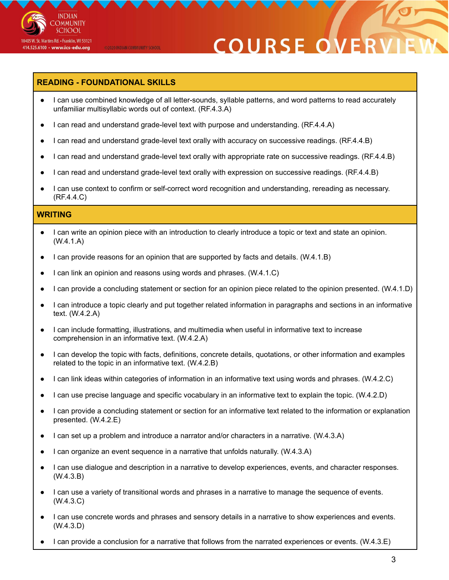

# **COURSE ON**

### **READING - FOUNDATIONAL SKILLS**

@2020 INDIAN COMMUNITY SCHOOL

- I can use combined knowledge of all letter-sounds, syllable patterns, and word patterns to read accurately unfamiliar multisyllabic words out of context. (RF.4.3.A)
- I can read and understand grade-level text with purpose and understanding. (RF.4.4.A)
- I can read and understand grade-level text orally with accuracy on successive readings. (RF.4.4.B)
- I can read and understand grade-level text orally with appropriate rate on successive readings. (RF.4.4.B)
- I can read and understand grade-level text orally with expression on successive readings. (RF.4.4.B)
- I can use context to confirm or self-correct word recognition and understanding, rereading as necessary. (RF.4.4.C)

#### **WRITING**

- I can write an opinion piece with an introduction to clearly introduce a topic or text and state an opinion. (W.4.1.A)
- I can provide reasons for an opinion that are supported by facts and details. (W.4.1.B)
- I can link an opinion and reasons using words and phrases. (W.4.1.C)
- I can provide a concluding statement or section for an opinion piece related to the opinion presented. (W.4.1.D)
- I can introduce a topic clearly and put together related information in paragraphs and sections in an informative text. (W.4.2.A)
- I can include formatting, illustrations, and multimedia when useful in informative text to increase comprehension in an informative text. (W.4.2.A)
- I can develop the topic with facts, definitions, concrete details, quotations, or other information and examples related to the topic in an informative text. (W.4.2.B)
- I can link ideas within categories of information in an informative text using words and phrases. (W.4.2.C)
- I can use precise language and specific vocabulary in an informative text to explain the topic. (W.4.2.D)
- I can provide a concluding statement or section for an informative text related to the information or explanation presented. (W.4.2.E)
- I can set up a problem and introduce a narrator and/or characters in a narrative. (W.4.3.A)
- I can organize an event sequence in a narrative that unfolds naturally. (W.4.3.A)
- I can use dialogue and description in a narrative to develop experiences, events, and character responses. (W.4.3.B)
- I can use a variety of transitional words and phrases in a narrative to manage the sequence of events. (W.4.3.C)
- I can use concrete words and phrases and sensory details in a narrative to show experiences and events. (W.4.3.D)
- I can provide a conclusion for a narrative that follows from the narrated experiences or events. (W.4.3.E)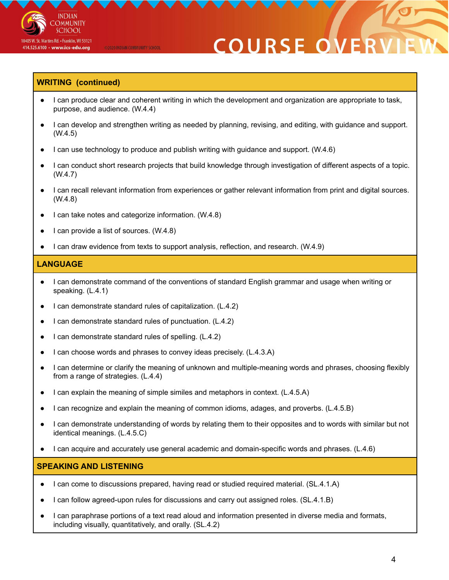

# **COURSE O**

#### **WRITING (continued)**

- I can produce clear and coherent writing in which the development and organization are appropriate to task, purpose, and audience. (W.4.4)
- I can develop and strengthen writing as needed by planning, revising, and editing, with guidance and support. (W.4.5)
- I can use technology to produce and publish writing with guidance and support.  $(W.4.6)$
- I can conduct short research projects that build knowledge through investigation of different aspects of a topic. (W.4.7)
- I can recall relevant information from experiences or gather relevant information from print and digital sources. (W.4.8)
- I can take notes and categorize information. (W.4.8)

@2020 INDIAN COMMUNITY SCHOOL

- I can provide a list of sources. (W.4.8)
- I can draw evidence from texts to support analysis, reflection, and research. (W.4.9)

#### **LANGUAGE**

- I can demonstrate command of the conventions of standard English grammar and usage when writing or speaking. (L.4.1)
- I can demonstrate standard rules of capitalization. (L.4.2)
- I can demonstrate standard rules of punctuation. (L.4.2)
- I can demonstrate standard rules of spelling. (L.4.2)
- I can choose words and phrases to convey ideas precisely. (L.4.3.A)
- I can determine or clarify the meaning of unknown and multiple-meaning words and phrases, choosing flexibly from a range of strategies. (L.4.4)
- I can explain the meaning of simple similes and metaphors in context. (L.4.5.A)
- I can recognize and explain the meaning of common idioms, adages, and proverbs. (L.4.5.B)
- I can demonstrate understanding of words by relating them to their opposites and to words with similar but not identical meanings. (L.4.5.C)
- I can acquire and accurately use general academic and domain-specific words and phrases. (L.4.6)

#### **SPEAKING AND LISTENING**

- I can come to discussions prepared, having read or studied required material. (SL.4.1.A)
- I can follow agreed-upon rules for discussions and carry out assigned roles. (SL.4.1.B)
- I can paraphrase portions of a text read aloud and information presented in diverse media and formats, including visually, quantitatively, and orally. (SL.4.2)